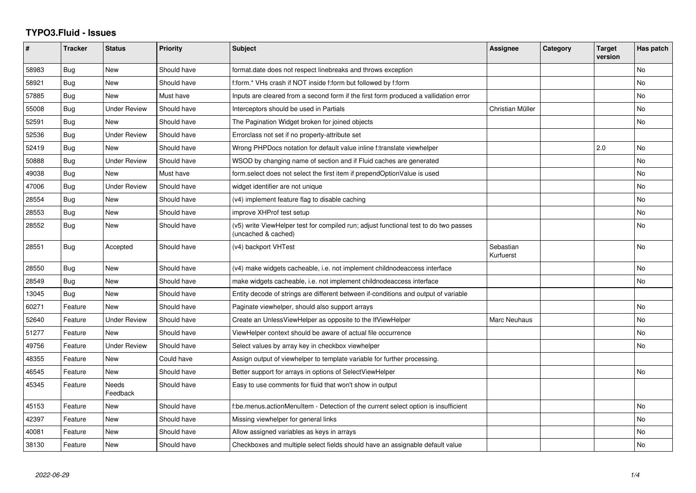## **TYPO3.Fluid - Issues**

| #     | <b>Tracker</b> | <b>Status</b>            | <b>Priority</b> | <b>Subject</b>                                                                                              | Assignee               | Category | <b>Target</b><br>version | Has patch |
|-------|----------------|--------------------------|-----------------|-------------------------------------------------------------------------------------------------------------|------------------------|----------|--------------------------|-----------|
| 58983 | Bug            | <b>New</b>               | Should have     | format.date does not respect linebreaks and throws exception                                                |                        |          |                          | <b>No</b> |
| 58921 | <b>Bug</b>     | New                      | Should have     | f:form.* VHs crash if NOT inside f:form but followed by f:form                                              |                        |          |                          | No        |
| 57885 | Bug            | New                      | Must have       | Inputs are cleared from a second form if the first form produced a vallidation error                        |                        |          |                          | <b>No</b> |
| 55008 | Bug            | <b>Under Review</b>      | Should have     | Interceptors should be used in Partials                                                                     | Christian Müller       |          |                          | <b>No</b> |
| 52591 | Bug            | New                      | Should have     | The Pagination Widget broken for joined objects                                                             |                        |          |                          | <b>No</b> |
| 52536 | Bug            | <b>Under Review</b>      | Should have     | Errorclass not set if no property-attribute set                                                             |                        |          |                          |           |
| 52419 | Bug            | New                      | Should have     | Wrong PHPDocs notation for default value inline f:translate viewhelper                                      |                        |          | 2.0                      | <b>No</b> |
| 50888 | Bug            | <b>Under Review</b>      | Should have     | WSOD by changing name of section and if Fluid caches are generated                                          |                        |          |                          | <b>No</b> |
| 49038 | <b>Bug</b>     | <b>New</b>               | Must have       | form.select does not select the first item if prependOptionValue is used                                    |                        |          |                          | <b>No</b> |
| 47006 | Bug            | Under Review             | Should have     | widget identifier are not unique                                                                            |                        |          |                          | No        |
| 28554 | Bug            | New                      | Should have     | (v4) implement feature flag to disable caching                                                              |                        |          |                          | No        |
| 28553 | Bug            | <b>New</b>               | Should have     | improve XHProf test setup                                                                                   |                        |          |                          | <b>No</b> |
| 28552 | Bug            | New                      | Should have     | (v5) write ViewHelper test for compiled run; adjust functional test to do two passes<br>(uncached & cached) |                        |          |                          | <b>No</b> |
| 28551 | Bug            | Accepted                 | Should have     | (v4) backport VHTest                                                                                        | Sebastian<br>Kurfuerst |          |                          | No        |
| 28550 | Bug            | New                      | Should have     | (v4) make widgets cacheable, i.e. not implement childnodeaccess interface                                   |                        |          |                          | <b>No</b> |
| 28549 | <b>Bug</b>     | <b>New</b>               | Should have     | make widgets cacheable, i.e. not implement childnodeaccess interface                                        |                        |          |                          | <b>No</b> |
| 13045 | <b>Bug</b>     | New                      | Should have     | Entity decode of strings are different between if-conditions and output of variable                         |                        |          |                          |           |
| 60271 | Feature        | <b>New</b>               | Should have     | Paginate viewhelper, should also support arrays                                                             |                        |          |                          | No        |
| 52640 | Feature        | <b>Under Review</b>      | Should have     | Create an UnlessViewHelper as opposite to the IfViewHelper                                                  | Marc Neuhaus           |          |                          | <b>No</b> |
| 51277 | Feature        | New                      | Should have     | ViewHelper context should be aware of actual file occurrence                                                |                        |          |                          | <b>No</b> |
| 49756 | Feature        | <b>Under Review</b>      | Should have     | Select values by array key in checkbox viewhelper                                                           |                        |          |                          | No        |
| 48355 | Feature        | <b>New</b>               | Could have      | Assign output of viewhelper to template variable for further processing.                                    |                        |          |                          |           |
| 46545 | Feature        | New                      | Should have     | Better support for arrays in options of SelectViewHelper                                                    |                        |          |                          | No        |
| 45345 | Feature        | <b>Needs</b><br>Feedback | Should have     | Easy to use comments for fluid that won't show in output                                                    |                        |          |                          |           |
| 45153 | Feature        | New                      | Should have     | f:be.menus.actionMenuItem - Detection of the current select option is insufficient                          |                        |          |                          | No        |
| 42397 | Feature        | New                      | Should have     | Missing viewhelper for general links                                                                        |                        |          |                          | <b>No</b> |
| 40081 | Feature        | New                      | Should have     | Allow assigned variables as keys in arrays                                                                  |                        |          |                          | No        |
| 38130 | Feature        | <b>New</b>               | Should have     | Checkboxes and multiple select fields should have an assignable default value                               |                        |          |                          | No.       |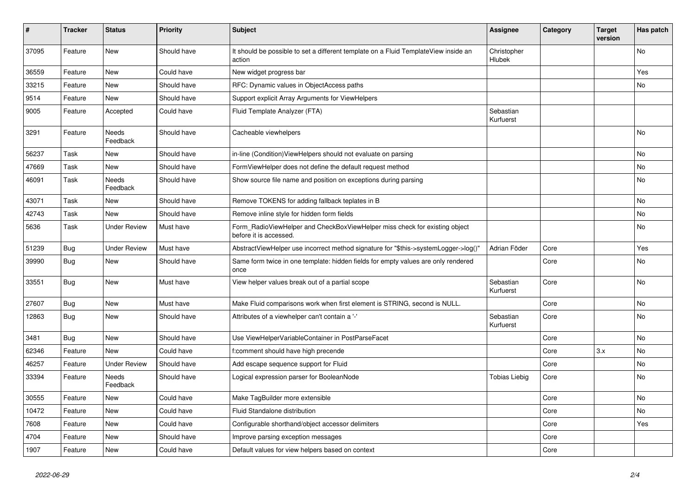| $\vert$ # | <b>Tracker</b> | <b>Status</b>       | <b>Priority</b> | <b>Subject</b>                                                                                       | Assignee               | Category | <b>Target</b><br>version | Has patch |
|-----------|----------------|---------------------|-----------------|------------------------------------------------------------------------------------------------------|------------------------|----------|--------------------------|-----------|
| 37095     | Feature        | New                 | Should have     | It should be possible to set a different template on a Fluid TemplateView inside an<br>action        | Christopher<br>Hlubek  |          |                          | <b>No</b> |
| 36559     | Feature        | New                 | Could have      | New widget progress bar                                                                              |                        |          |                          | Yes       |
| 33215     | Feature        | <b>New</b>          | Should have     | RFC: Dynamic values in ObjectAccess paths                                                            |                        |          |                          | No        |
| 9514      | Feature        | <b>New</b>          | Should have     | Support explicit Array Arguments for ViewHelpers                                                     |                        |          |                          |           |
| 9005      | Feature        | Accepted            | Could have      | Fluid Template Analyzer (FTA)                                                                        | Sebastian<br>Kurfuerst |          |                          |           |
| 3291      | Feature        | Needs<br>Feedback   | Should have     | Cacheable viewhelpers                                                                                |                        |          |                          | <b>No</b> |
| 56237     | Task           | New                 | Should have     | in-line (Condition) View Helpers should not evaluate on parsing                                      |                        |          |                          | No        |
| 47669     | Task           | New                 | Should have     | FormViewHelper does not define the default request method                                            |                        |          |                          | No        |
| 46091     | Task           | Needs<br>Feedback   | Should have     | Show source file name and position on exceptions during parsing                                      |                        |          |                          | No        |
| 43071     | Task           | New                 | Should have     | Remove TOKENS for adding fallback teplates in B                                                      |                        |          |                          | No        |
| 42743     | Task           | New                 | Should have     | Remove inline style for hidden form fields                                                           |                        |          |                          | No        |
| 5636      | Task           | <b>Under Review</b> | Must have       | Form RadioViewHelper and CheckBoxViewHelper miss check for existing object<br>before it is accessed. |                        |          |                          | No        |
| 51239     | Bug            | <b>Under Review</b> | Must have       | AbstractViewHelper use incorrect method signature for "\$this->systemLogger->log()"                  | Adrian Föder           | Core     |                          | Yes       |
| 39990     | Bug            | New                 | Should have     | Same form twice in one template: hidden fields for empty values are only rendered<br>once            |                        | Core     |                          | <b>No</b> |
| 33551     | <b>Bug</b>     | <b>New</b>          | Must have       | View helper values break out of a partial scope                                                      | Sebastian<br>Kurfuerst | Core     |                          | <b>No</b> |
| 27607     | <b>Bug</b>     | New                 | Must have       | Make Fluid comparisons work when first element is STRING, second is NULL.                            |                        | Core     |                          | No        |
| 12863     | Bug            | New                 | Should have     | Attributes of a viewhelper can't contain a '-'                                                       | Sebastian<br>Kurfuerst | Core     |                          | No        |
| 3481      | Bug            | New                 | Should have     | Use ViewHelperVariableContainer in PostParseFacet                                                    |                        | Core     |                          | No        |
| 62346     | Feature        | <b>New</b>          | Could have      | f:comment should have high precende                                                                  |                        | Core     | 3.x                      | No        |
| 46257     | Feature        | <b>Under Review</b> | Should have     | Add escape sequence support for Fluid                                                                |                        | Core     |                          | No        |
| 33394     | Feature        | Needs<br>Feedback   | Should have     | Logical expression parser for BooleanNode                                                            | Tobias Liebig          | Core     |                          | No        |
| 30555     | Feature        | <b>New</b>          | Could have      | Make TagBuilder more extensible                                                                      |                        | Core     |                          | No        |
| 10472     | Feature        | New                 | Could have      | Fluid Standalone distribution                                                                        |                        | Core     |                          | No        |
| 7608      | Feature        | New                 | Could have      | Configurable shorthand/object accessor delimiters                                                    |                        | Core     |                          | Yes       |
| 4704      | Feature        | <b>New</b>          | Should have     | Improve parsing exception messages                                                                   |                        | Core     |                          |           |
| 1907      | Feature        | <b>New</b>          | Could have      | Default values for view helpers based on context                                                     |                        | Core     |                          |           |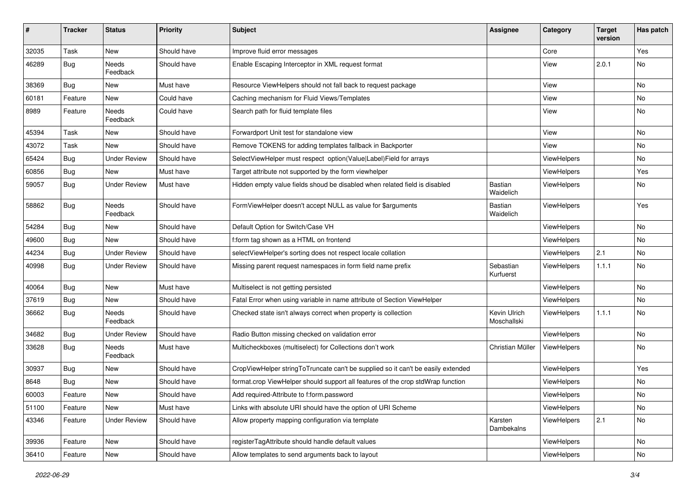| #     | <b>Tracker</b> | <b>Status</b>            | <b>Priority</b> | Subject                                                                          | <b>Assignee</b>             | Category    | <b>Target</b><br>version | Has patch     |
|-------|----------------|--------------------------|-----------------|----------------------------------------------------------------------------------|-----------------------------|-------------|--------------------------|---------------|
| 32035 | Task           | New                      | Should have     | Improve fluid error messages                                                     |                             | Core        |                          | Yes           |
| 46289 | Bug            | Needs<br>Feedback        | Should have     | Enable Escaping Interceptor in XML request format                                |                             | View        | 2.0.1                    | No            |
| 38369 | Bug            | New                      | Must have       | Resource ViewHelpers should not fall back to request package                     |                             | View        |                          | <b>No</b>     |
| 60181 | Feature        | New                      | Could have      | Caching mechanism for Fluid Views/Templates                                      |                             | View        |                          | No            |
| 8989  | Feature        | <b>Needs</b><br>Feedback | Could have      | Search path for fluid template files                                             |                             | View        |                          | No            |
| 45394 | Task           | New                      | Should have     | Forwardport Unit test for standalone view                                        |                             | View        |                          | <b>No</b>     |
| 43072 | Task           | <b>New</b>               | Should have     | Remove TOKENS for adding templates fallback in Backporter                        |                             | View        |                          | No            |
| 65424 | Bug            | <b>Under Review</b>      | Should have     | SelectViewHelper must respect option(Value Label)Field for arrays                |                             | ViewHelpers |                          | No            |
| 60856 | Bug            | New                      | Must have       | Target attribute not supported by the form viewhelper                            |                             | ViewHelpers |                          | Yes           |
| 59057 | Bug            | <b>Under Review</b>      | Must have       | Hidden empty value fields shoud be disabled when related field is disabled       | Bastian<br>Waidelich        | ViewHelpers |                          | No            |
| 58862 | Bug            | <b>Needs</b><br>Feedback | Should have     | FormViewHelper doesn't accept NULL as value for \$arguments                      | Bastian<br>Waidelich        | ViewHelpers |                          | Yes           |
| 54284 | Bug            | New                      | Should have     | Default Option for Switch/Case VH                                                |                             | ViewHelpers |                          | No            |
| 49600 | Bug            | New                      | Should have     | f:form tag shown as a HTML on frontend                                           |                             | ViewHelpers |                          | No            |
| 44234 | Bug            | <b>Under Review</b>      | Should have     | selectViewHelper's sorting does not respect locale collation                     |                             | ViewHelpers | 2.1                      | No            |
| 40998 | Bug            | <b>Under Review</b>      | Should have     | Missing parent request namespaces in form field name prefix                      | Sebastian<br>Kurfuerst      | ViewHelpers | 1.1.1                    | No            |
| 40064 | <b>Bug</b>     | New                      | Must have       | Multiselect is not getting persisted                                             |                             | ViewHelpers |                          | No            |
| 37619 | Bug            | New                      | Should have     | Fatal Error when using variable in name attribute of Section ViewHelper          |                             | ViewHelpers |                          | No            |
| 36662 | Bug            | Needs<br>Feedback        | Should have     | Checked state isn't always correct when property is collection                   | Kevin Ulrich<br>Moschallski | ViewHelpers | 1.1.1                    | No            |
| 34682 | Bug            | <b>Under Review</b>      | Should have     | Radio Button missing checked on validation error                                 |                             | ViewHelpers |                          | No            |
| 33628 | Bug            | Needs<br>Feedback        | Must have       | Multicheckboxes (multiselect) for Collections don't work                         | Christian Müller            | ViewHelpers |                          | No            |
| 30937 | Bug            | <b>New</b>               | Should have     | CropViewHelper stringToTruncate can't be supplied so it can't be easily extended |                             | ViewHelpers |                          | Yes           |
| 8648  | Bug            | New                      | Should have     | format.crop ViewHelper should support all features of the crop stdWrap function  |                             | ViewHelpers |                          | No            |
| 60003 | Feature        | New                      | Should have     | Add required-Attribute to f:form.password                                        |                             | ViewHelpers |                          | $\mathsf{No}$ |
| 51100 | Feature        | New                      | Must have       | Links with absolute URI should have the option of URI Scheme                     |                             | ViewHelpers |                          | No            |
| 43346 | Feature        | <b>Under Review</b>      | Should have     | Allow property mapping configuration via template                                | Karsten<br>Dambekalns       | ViewHelpers | 2.1                      | No            |
| 39936 | Feature        | New                      | Should have     | registerTagAttribute should handle default values                                |                             | ViewHelpers |                          | No            |
| 36410 | Feature        | New                      | Should have     | Allow templates to send arguments back to layout                                 |                             | ViewHelpers |                          | No            |